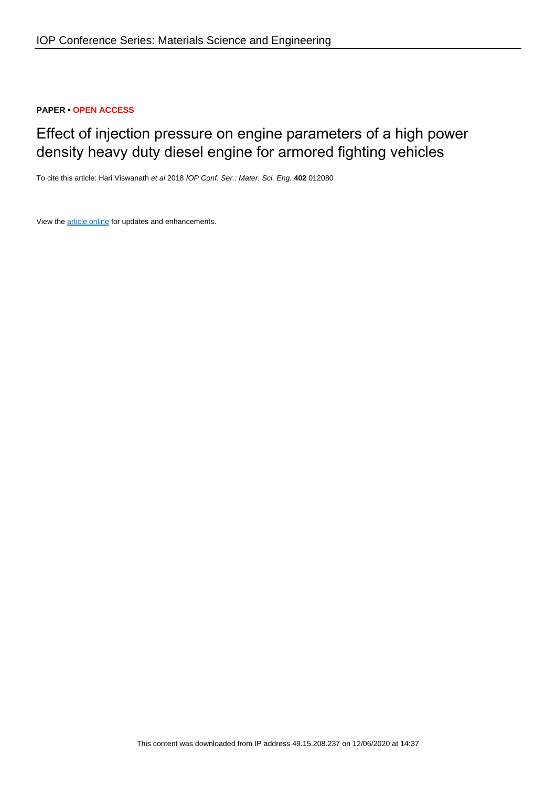## **PAPER • OPEN ACCESS**

# Effect of injection pressure on engine parameters of a high power density heavy duty diesel engine for armored fighting vehicles

To cite this article: Hari Viswanath et al 2018 IOP Conf. Ser.: Mater. Sci. Eng. **402** 012080

View the **[article online](https://doi.org/10.1088/1757-899X/402/1/012080)** for updates and enhancements.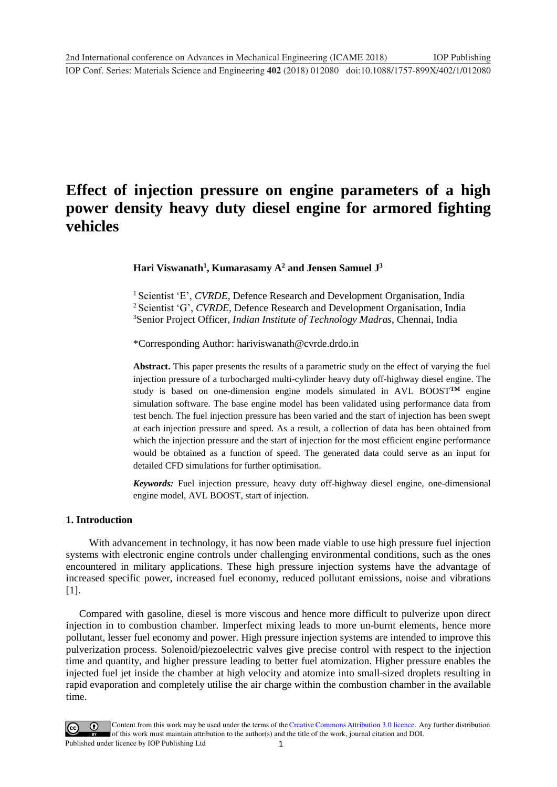# **Effect of injection pressure on engine parameters of a high power density heavy duty diesel engine for armored fighting vehicles**

**Hari Viswanath<sup>1</sup> , Kumarasamy A<sup>2</sup> and Jensen Samuel J<sup>3</sup>**

<sup>1</sup> Scientist 'E', *CVRDE*, Defence Research and Development Organisation, India <sup>2</sup> Scientist 'G', *CVRDE*, Defence Research and Development Organisation, India <sup>3</sup>Senior Project Officer, *Indian Institute of Technology Madras*, Chennai, India

\*Corresponding Author: hariviswanath@cvrde.drdo.in

**Abstract.** This paper presents the results of a parametric study on the effect of varying the fuel injection pressure of a turbocharged multi-cylinder heavy duty off-highway diesel engine. The study is based on one-dimension engine models simulated in AVL BOOST**TM** engine simulation software. The base engine model has been validated using performance data from test bench. The fuel injection pressure has been varied and the start of injection has been swept at each injection pressure and speed. As a result, a collection of data has been obtained from which the injection pressure and the start of injection for the most efficient engine performance would be obtained as a function of speed. The generated data could serve as an input for detailed CFD simulations for further optimisation.

*Keywords:* Fuel injection pressure, heavy duty off-highway diesel engine, one-dimensional engine model, AVL BOOST, start of injection.

### **1. Introduction**

 With advancement in technology, it has now been made viable to use high pressure fuel injection systems with electronic engine controls under challenging environmental conditions, such as the ones encountered in military applications. These high pressure injection systems have the advantage of increased specific power, increased fuel economy, reduced pollutant emissions, noise and vibrations [1].

Compared with gasoline, diesel is more viscous and hence more difficult to pulverize upon direct injection in to combustion chamber. Imperfect mixing leads to more un-burnt elements, hence more pollutant, lesser fuel economy and power. High pressure injection systems are intended to improve this pulverization process. Solenoid/piezoelectric valves give precise control with respect to the injection time and quantity, and higher pressure leading to better fuel atomization. Higher pressure enables the injected fuel jet inside the chamber at high velocity and atomize into small-sized droplets resulting in rapid evaporation and completely utilise the air charge within the combustion chamber in the available time.

1 Content from this work may be used under the terms of the[Creative Commons Attribution 3.0 licence.](http://creativecommons.org/licenses/by/3.0) Any further distribution of this work must maintain attribution to the author(s) and the title of the work, journal citation and DOI. Published under licence by IOP Publishing Ltd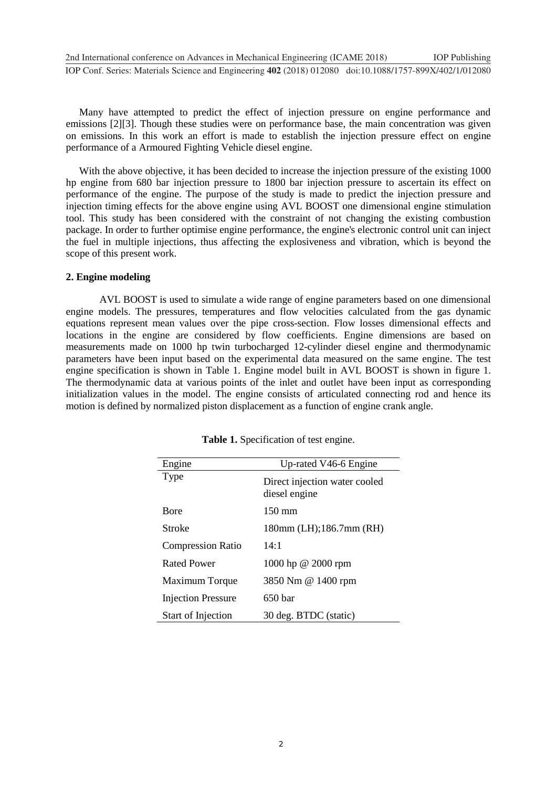**1234567890**''"" IOP Conf. Series: Materials Science and Engineering **402** (2018) 012080 doi:10.1088/1757-899X/402/1/012080 2nd International conference on Advances in Mechanical Engineering (ICAME 2018) IOP Publishing

Many have attempted to predict the effect of injection pressure on engine performance and emissions [2][3]. Though these studies were on performance base, the main concentration was given on emissions. In this work an effort is made to establish the injection pressure effect on engine performance of a Armoured Fighting Vehicle diesel engine.

With the above objective, it has been decided to increase the injection pressure of the existing 1000 hp engine from 680 bar injection pressure to 1800 bar injection pressure to ascertain its effect on performance of the engine. The purpose of the study is made to predict the injection pressure and injection timing effects for the above engine using AVL BOOST one dimensional engine stimulation tool. This study has been considered with the constraint of not changing the existing combustion package. In order to further optimise engine performance, the engine's electronic control unit can inject the fuel in multiple injections, thus affecting the explosiveness and vibration, which is beyond the scope of this present work.

#### **2. Engine modeling**

 AVL BOOST is used to simulate a wide range of engine parameters based on one dimensional engine models. The pressures, temperatures and flow velocities calculated from the gas dynamic equations represent mean values over the pipe cross-section. Flow losses dimensional effects and locations in the engine are considered by flow coefficients. Engine dimensions are based on measurements made on 1000 hp twin turbocharged 12-cylinder diesel engine and thermodynamic parameters have been input based on the experimental data measured on the same engine. The test engine specification is shown in Table 1. Engine model built in AVL BOOST is shown in figure 1. The thermodynamic data at various points of the inlet and outlet have been input as corresponding initialization values in the model. The engine consists of articulated connecting rod and hence its motion is defined by normalized piston displacement as a function of engine crank angle.

| Engine                    | Up-rated V46-6 Engine                          |
|---------------------------|------------------------------------------------|
| <b>Type</b>               | Direct injection water cooled<br>diesel engine |
| <b>B</b> ore              | $150 \text{ mm}$                               |
| Stroke                    | 180mm (LH); 186.7mm (RH)                       |
| <b>Compression Ratio</b>  | 14:1                                           |
| <b>Rated Power</b>        | 1000 hp @ 2000 rpm                             |
| Maximum Torque            | 3850 Nm @ 1400 rpm                             |
| <b>Injection Pressure</b> | 650 <sub>bar</sub>                             |
| Start of Injection        | 30 deg. BTDC (static)                          |

**Table 1.** Specification of test engine.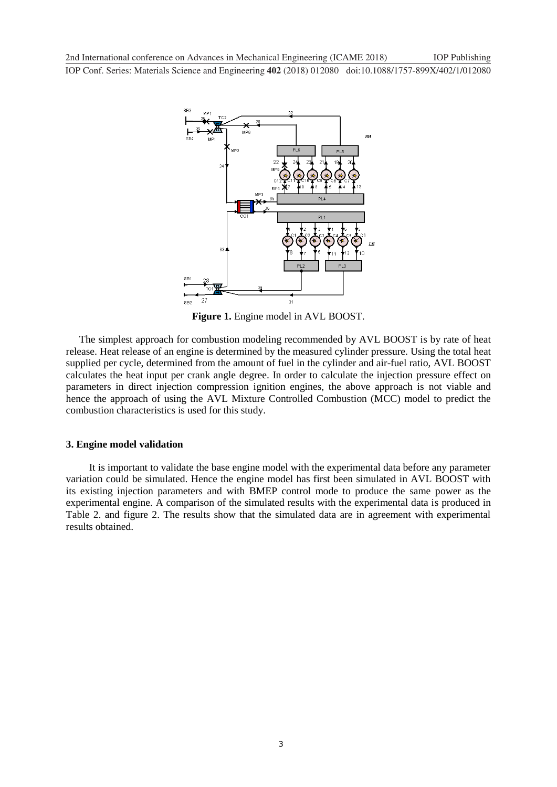**1234567890**''"" IOP Conf. Series: Materials Science and Engineering **402** (2018) 012080 doi:10.1088/1757-899X/402/1/012080 2nd International conference on Advances in Mechanical Engineering (ICAME 2018) IOP Publishing



**Figure 1.** Engine model in AVL BOOST.

The simplest approach for combustion modeling recommended by AVL BOOST is by rate of heat release. Heat release of an engine is determined by the measured cylinder pressure. Using the total heat supplied per cycle, determined from the amount of fuel in the cylinder and air-fuel ratio, AVL BOOST calculates the heat input per crank angle degree. In order to calculate the injection pressure effect on parameters in direct injection compression ignition engines, the above approach is not viable and hence the approach of using the AVL Mixture Controlled Combustion (MCC) model to predict the combustion characteristics is used for this study.

#### **3. Engine model validation**

 It is important to validate the base engine model with the experimental data before any parameter variation could be simulated. Hence the engine model has first been simulated in AVL BOOST with its existing injection parameters and with BMEP control mode to produce the same power as the experimental engine. A comparison of the simulated results with the experimental data is produced in Table 2. and figure 2. The results show that the simulated data are in agreement with experimental results obtained.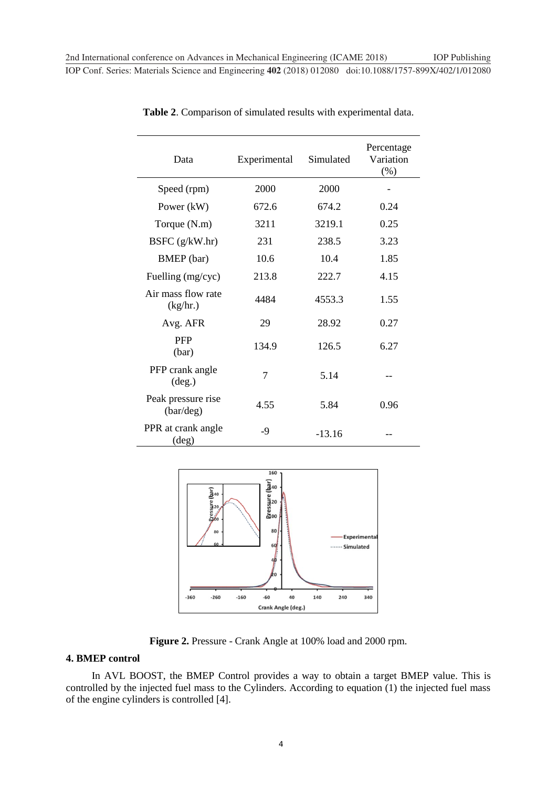| Data                                    | Experimental   | Simulated | Percentage<br>Variation<br>(% ) |
|-----------------------------------------|----------------|-----------|---------------------------------|
| Speed (rpm)                             | 2000           | 2000      |                                 |
| Power (kW)                              | 672.6          | 674.2     | 0.24                            |
| Torque (N.m)                            | 3211           | 3219.1    | 0.25                            |
| BSFC $(g/kW.hr)$                        | 231            | 238.5     | 3.23                            |
| BMEP (bar)                              | 10.6           | 10.4      | 1.85                            |
| Fuelling (mg/cyc)                       | 213.8          | 222.7     | 4.15                            |
| Air mass flow rate<br>(kg/hr.)          | 4484           | 4553.3    | 1.55                            |
| Avg. AFR                                | 29             | 28.92     | 0.27                            |
| <b>PFP</b><br>(bar)                     | 134.9          | 126.5     | 6.27                            |
| PFP crank angle<br>$(\text{deg.})$      | $\overline{7}$ | 5.14      |                                 |
| Peak pressure rise<br>$\frac{bar}{deg}$ | 4.55           | 5.84      | 0.96                            |
| PPR at crank angle<br>$(\text{deg})$    | -9             | $-13.16$  |                                 |

**Table 2**. Comparison of simulated results with experimental data.



**Figure 2.** Pressure - Crank Angle at 100% load and 2000 rpm.

#### **4. BMEP control**

 In AVL BOOST, the BMEP Control provides a way to obtain a target BMEP value. This is controlled by the injected fuel mass to the Cylinders. According to equation (1) the injected fuel mass of the engine cylinders is controlled [4].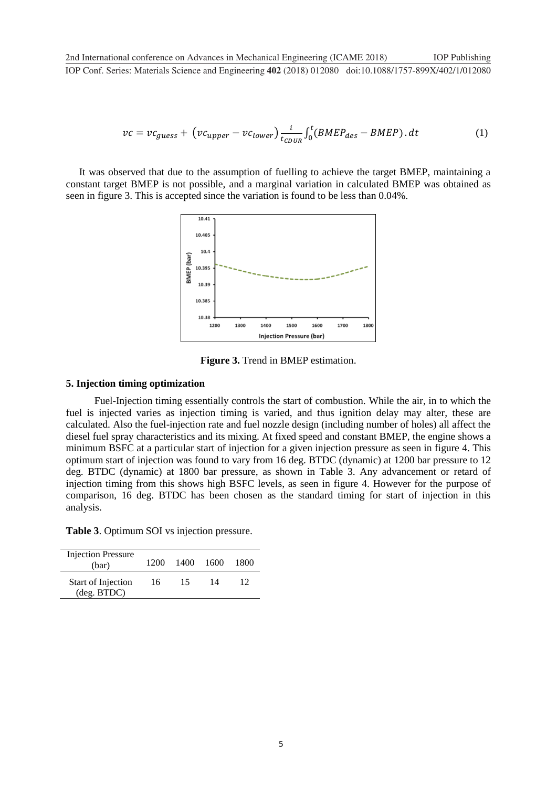$$
vc = vc_{guess} + (vc_{upper} - vc_{lower})\frac{i}{t_{CDUR}} \int_0^t (BMEP_{des} - BMEP) \cdot dt
$$
 (1)

It was observed that due to the assumption of fuelling to achieve the target BMEP, maintaining a constant target BMEP is not possible, and a marginal variation in calculated BMEP was obtained as seen in figure 3. This is accepted since the variation is found to be less than 0.04%.



**Figure 3.** Trend in BMEP estimation.

#### **5. Injection timing optimization**

Fuel-Injection timing essentially controls the start of combustion. While the air, in to which the fuel is injected varies as injection timing is varied, and thus ignition delay may alter, these are calculated. Also the fuel-injection rate and fuel nozzle design (including number of holes) all affect the diesel fuel spray characteristics and its mixing. At fixed speed and constant BMEP, the engine shows a minimum BSFC at a particular start of injection for a given injection pressure as seen in figure 4. This optimum start of injection was found to vary from 16 deg. BTDC (dynamic) at 1200 bar pressure to 12 deg. BTDC (dynamic) at 1800 bar pressure, as shown in Table 3. Any advancement or retard of injection timing from this shows high BSFC levels, as seen in figure 4. However for the purpose of comparison, 16 deg. BTDC has been chosen as the standard timing for start of injection in this analysis.

**Table 3**. Optimum SOI vs injection pressure.

| <b>Injection Pressure</b><br>(bar)         | 1200 | 1400 | 1600 | 1800 |
|--------------------------------------------|------|------|------|------|
| Start of Injection<br>$(\text{deg. BTDC})$ | 16   | 15   | 14   | 12   |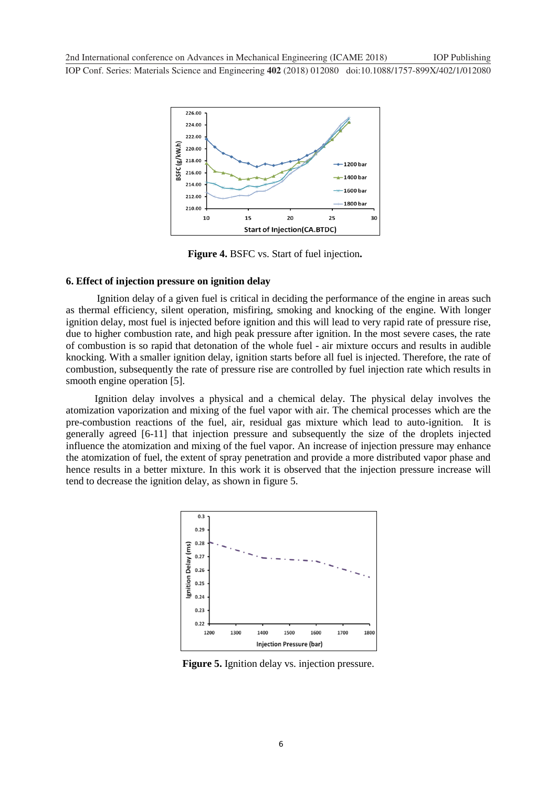

**Figure 4.** BSFC vs. Start of fuel injection**.** 

#### **6. Effect of injection pressure on ignition delay**

 Ignition delay of a given fuel is critical in deciding the performance of the engine in areas such as thermal efficiency, silent operation, misfiring, smoking and knocking of the engine. With longer ignition delay, most fuel is injected before ignition and this will lead to very rapid rate of pressure rise, due to higher combustion rate, and high peak pressure after ignition. In the most severe cases, the rate of combustion is so rapid that detonation of the whole fuel - air mixture occurs and results in audible knocking. With a smaller ignition delay, ignition starts before all fuel is injected. Therefore, the rate of combustion, subsequently the rate of pressure rise are controlled by fuel injection rate which results in smooth engine operation [5].

 Ignition delay involves a physical and a chemical delay. The physical delay involves the atomization vaporization and mixing of the fuel vapor with air. The chemical processes which are the pre-combustion reactions of the fuel, air, residual gas mixture which lead to auto-ignition. It is generally agreed [6-11] that injection pressure and subsequently the size of the droplets injected influence the atomization and mixing of the fuel vapor. An increase of injection pressure may enhance the atomization of fuel, the extent of spray penetration and provide a more distributed vapor phase and hence results in a better mixture. In this work it is observed that the injection pressure increase will tend to decrease the ignition delay, as shown in figure 5.



**Figure 5.** Ignition delay vs. injection pressure.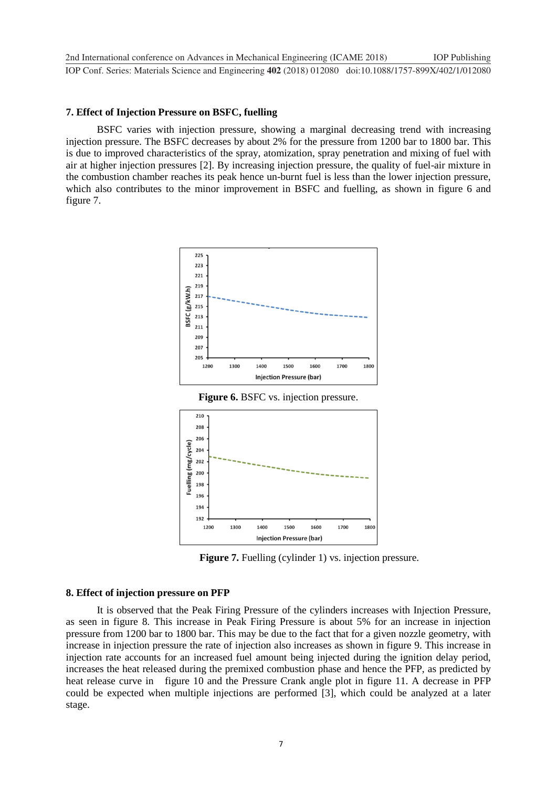#### **7. Effect of Injection Pressure on BSFC, fuelling**

 BSFC varies with injection pressure, showing a marginal decreasing trend with increasing injection pressure. The BSFC decreases by about 2% for the pressure from 1200 bar to 1800 bar. This is due to improved characteristics of the spray, atomization, spray penetration and mixing of fuel with air at higher injection pressures [2]. By increasing injection pressure, the quality of fuel-air mixture in the combustion chamber reaches its peak hence un-burnt fuel is less than the lower injection pressure, which also contributes to the minor improvement in BSFC and fuelling, as shown in figure 6 and figure 7.



**Figure 6.** BSFC vs. injection pressure.



**Figure 7.** Fuelling (cylinder 1) vs. injection pressure.

#### **8. Effect of injection pressure on PFP**

 It is observed that the Peak Firing Pressure of the cylinders increases with Injection Pressure, as seen in figure 8. This increase in Peak Firing Pressure is about 5% for an increase in injection pressure from 1200 bar to 1800 bar. This may be due to the fact that for a given nozzle geometry, with increase in injection pressure the rate of injection also increases as shown in figure 9. This increase in injection rate accounts for an increased fuel amount being injected during the ignition delay period, increases the heat released during the premixed combustion phase and hence the PFP, as predicted by heat release curve in figure 10 and the Pressure Crank angle plot in figure 11. A decrease in PFP could be expected when multiple injections are performed [3], which could be analyzed at a later stage.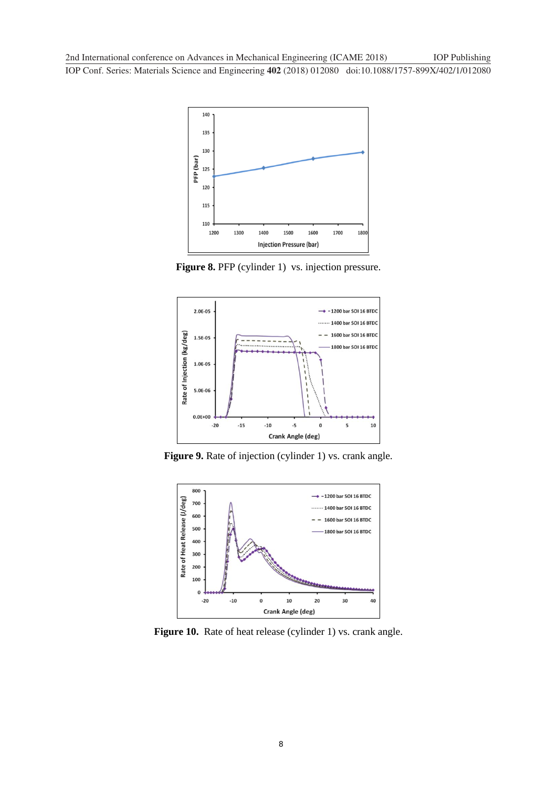**1234567890**''"" IOP Conf. Series: Materials Science and Engineering **402** (2018) 012080 doi:10.1088/1757-899X/402/1/012080



Figure 8. PFP (cylinder 1) vs. injection pressure.



Figure 9. Rate of injection (cylinder 1) vs. crank angle.



**Figure 10.** Rate of heat release (cylinder 1) vs. crank angle.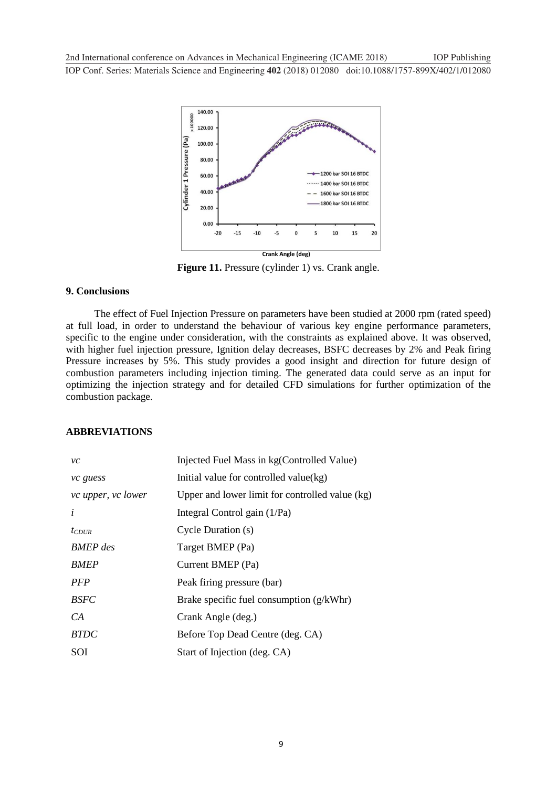**1234567890**''"" IOP Conf. Series: Materials Science and Engineering **402** (2018) 012080 doi:10.1088/1757-899X/402/1/012080 2nd International conference on Advances in Mechanical Engineering (ICAME 2018) IOP Publishing



**Figure 11.** Pressure (cylinder 1) vs. Crank angle.

#### **9. Conclusions**

 The effect of Fuel Injection Pressure on parameters have been studied at 2000 rpm (rated speed) at full load, in order to understand the behaviour of various key engine performance parameters, specific to the engine under consideration, with the constraints as explained above. It was observed, with higher fuel injection pressure, Ignition delay decreases, BSFC decreases by 2% and Peak firing Pressure increases by 5%. This study provides a good insight and direction for future design of combustion parameters including injection timing. The generated data could serve as an input for optimizing the injection strategy and for detailed CFD simulations for further optimization of the combustion package.

### **ABBREVIATIONS**

| vc                 | Injected Fuel Mass in kg(Controlled Value)      |
|--------------------|-------------------------------------------------|
| vc guess           | Initial value for controlled value(kg)          |
| vc upper, vc lower | Upper and lower limit for controlled value (kg) |
| i                  | Integral Control gain (1/Pa)                    |
| $t_{CDUR}$         | Cycle Duration (s)                              |
| <b>BMEP</b> des    | Target BMEP (Pa)                                |
| <b>BMEP</b>        | Current BMEP (Pa)                               |
| PFP                | Peak firing pressure (bar)                      |
| <b>BSFC</b>        | Brake specific fuel consumption (g/kWhr)        |
| CA                 | Crank Angle (deg.)                              |
| <b>BTDC</b>        | Before Top Dead Centre (deg. CA)                |
| SOI                | Start of Injection (deg. CA)                    |